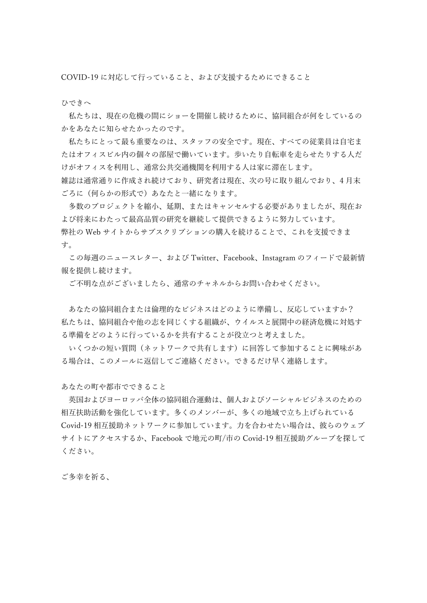COVID-19 に対応して行っていること、および支援するためにできること

ひできへ

私たちは、現在の危機の間にショーを開催し続けるために、協同組合が何をしているの かをあなたに知らせたかったのです。

私たちにとって最も重要なのは、スタッフの安全です。現在、すべての従業員は自宅ま たはオフィスビル内の個々の部屋で働いています。歩いたり自転車を走らせたりする人だ けがオフィスを利用し、通常公共交通機関を利用する人は家に滞在します。

雑誌は通常通りに作成され続けており、研究者は現在、次の号に取り組んでおり、4 月末 ごろに(何らかの形式で)あなたと一緒になります。

多数のプロジェクトを縮小、延期、またはキャンセルする必要がありましたが、現在お よび将来にわたって最高品質の研究を継続して提供できるように努力しています。 弊社の Web サイトからサブスクリプションの購入を続けることで、これを支援できま す。

この毎週のニュースレター、および Twitter、Facebook、Instagram のフィードで最新情 報を提供し続けます。

ご不明な点がございましたら、通常のチャネルからお問い合わせください。

あなたの協同組合または倫理的なビジネスはどのように準備し、反応していますか? 私たちは、協同組合や他の志を同じくする組織が、ウイルスと展開中の経済危機に対処す る準備をどのように行っているかを共有することが役立つと考えました。

いくつかの短い質問(ネットワークで共有します)に回答して参加することに興味があ る場合は、このメールに返信してご連絡ください。できるだけ早く連絡します。

あなたの町や都市でできること

英国およびヨーロッパ全体の協同組合運動は、個人およびソーシャルビジネスのための 相互扶助活動を強化しています。多くのメンバーが、多くの地域で立ち上げられている Covid-19 相互援助ネットワークに参加しています。力を合わせたい場合は、彼らのウェブ サイトにアクセスするか、Facebook で地元の町/市の Covid-19 相互援助グループを探して ください。

ご多幸を祈る、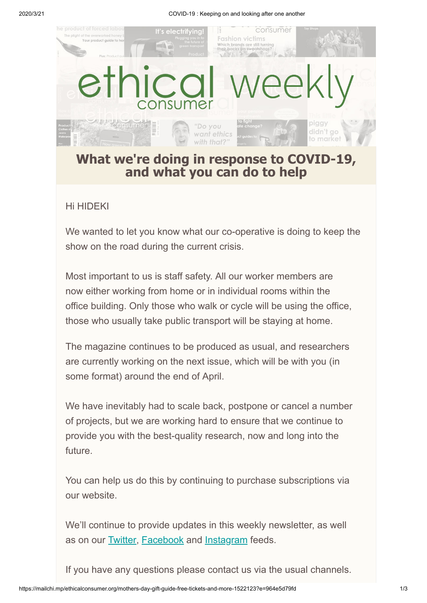2020/3/21 COVID-19 : Keeping on and looking after one another



## **What we're doing in response to COVID-19, and what you can do to help**

## Hi HIDEKI

We wanted to let you know what our co-operative is doing to keep the show on the road during the current crisis.

Most important to us is staff safety. All our worker members are now either working from home or in individual rooms within the office building. Only those who walk or cycle will be using the office, those who usually take public transport will be staying at home.

The magazine continues to be produced as usual, and researchers are currently working on the next issue, which will be with you (in some format) around the end of April.

We have inevitably had to scale back, postpone or cancel a number of projects, but we are working hard to ensure that we continue to provide you with the best-quality research, now and long into the future.

You can help us do this by continuing to purchase subscriptions via our website.

We'll continue to provide updates in this weekly newsletter, as well as on our **[Twitter](https://www.twitter.com/EC_Magazine), [Facebook](https://www.facebook.com/ethicalconsumermagazine/)** and **[Instagram](https://www.instagram.com/ethical_consumer_magazine/)** feeds.

If you have any questions please contact us via the usual channels.